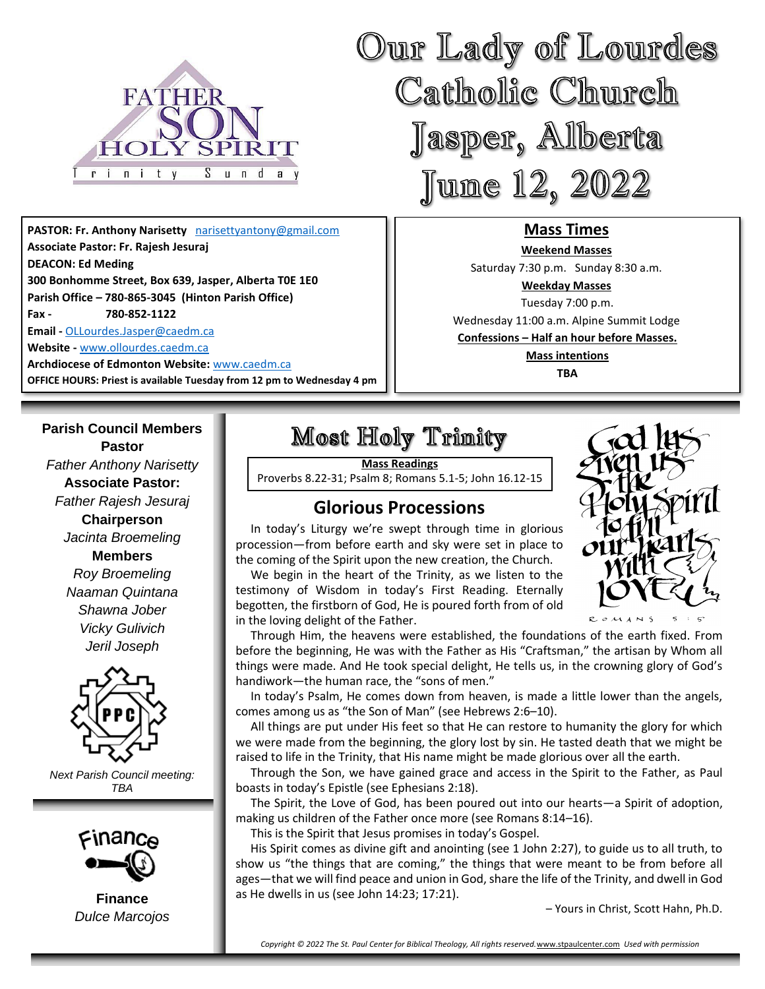

**PASTOR: Fr. Anthony Narisetty** [narisettyantony@gmail.com](mailto:narisettyantony@gmail.com) **Associate Pastor: Fr. Rajesh Jesuraj DEACON: Ed Meding 300 Bonhomme Street, Box 639, Jasper, Alberta T0E 1E0 Parish Office – 780-865-3045 (Hinton Parish Office) Fax - 780-852-1122 Email -** [OLLourdes.Jasper@caedm.ca](mailto:OLLourdes.Jasper@caedm.ca)

**Website -** [www.ollourdes.caedm.ca](http://www.ollourdes.caedm.ca/)

**Archdiocese of Edmonton Website:** [www.caedm.ca](http://www.caedm.ca/)  **OFFICE HOURS: Priest is available Tuesday from 12 pm to Wednesday 4 pm**

### **Parish Council Members**

**Pastor** *Father Anthony Narisetty* **Associate Pastor:**  *Father Rajesh Jesuraj*  **Chairperson** *Jacinta Broemeling* **Members** *Roy Broemeling Naaman Quintana Shawna Jober Vicky Gulivich Jeril Joseph*



*Next Parish Council meeting: TBA*



**Finance** *Dulce Marcojos*

# Most Holy Trimity

**Mass Readings** Proverbs 8.22-31; Psalm 8; Romans 5.1-5; John 16.12-15

## **Glorious Processions**

 In today's Liturgy we're swept through time in glorious procession—from before earth and sky were set in place to the coming of the Spirit upon the new creation, the Church.

 We begin in the heart of the Trinity, as we listen to the testimony of Wisdom in today's First Reading. Eternally begotten, the firstborn of God, He is poured forth from of old in the loving delight of the Father.



**Mass Times Weekend Masses**  Saturday 7:30 p.m. Sunday 8:30 a.m. **Weekday Masses** Tuesday 7:00 p.m. Wednesday 11:00 a.m. Alpine Summit Lodge **Confessions – Half an hour before Masses. Mass intentions TBA**

Our Lady of Lourdes

Catholic Church

Jasper, Alberta

June 12, 2022

 Through Him, the heavens were established, the foundations of the earth fixed. From before the beginning, He was with the Father as His "Craftsman," the artisan by Whom all things were made. And He took special delight, He tells us, in the crowning glory of God's handiwork—the human race, the "sons of men."

 In today's Psalm, He comes down from heaven, is made a little lower than the angels, comes among us as "the Son of Man" (see Hebrews 2:6–10).

 All things are put under His feet so that He can restore to humanity the glory for which we were made from the beginning, the glory lost by sin. He tasted death that we might be raised to life in the Trinity, that His name might be made glorious over all the earth.

 Through the Son, we have gained grace and access in the Spirit to the Father, as Paul boasts in today's Epistle (see Ephesians 2:18).

 The Spirit, the Love of God, has been poured out into our hearts—a Spirit of adoption, making us children of the Father once more (see Romans 8:14–16).

This is the Spirit that Jesus promises in today's Gospel.

 His Spirit comes as divine gift and anointing (see 1 John 2:27), to guide us to all truth, to show us "the things that are coming," the things that were meant to be from before all ages—that we will find peace and union in God, share the life of the Trinity, and dwell in God as He dwells in us (see John 14:23; 17:21).

– Yours in Christ, Scott Hahn, Ph.D.